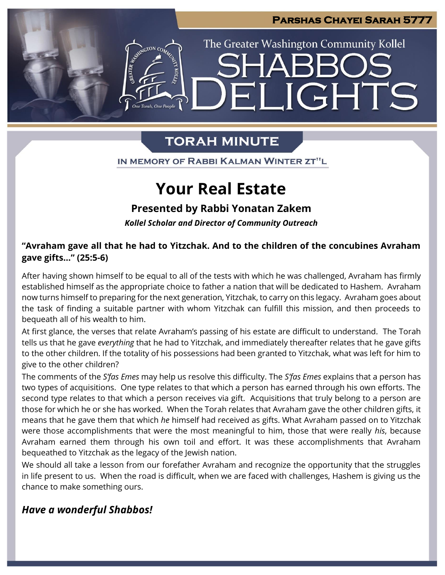

# **TORAH MINUTE**

IN MEMORY OF RABBI KALMAN WINTER ZT"L

# **Your Real Estate**

## **Presented by Rabbi Yonatan Zakem**

*Kollel Scholar and Director of Community Outreach*

### **"Avraham gave all that he had to Yitzchak. And to the children of the concubines Avraham gave gifts…" (25:5-6)**

After having shown himself to be equal to all of the tests with which he was challenged, Avraham has firmly established himself as the appropriate choice to father a nation that will be dedicated to Hashem. Avraham now turns himself to preparing for the next generation, Yitzchak, to carry on this legacy. Avraham goes about the task of finding a suitable partner with whom Yitzchak can fulfill this mission, and then proceeds to bequeath all of his wealth to him.

At first glance, the verses that relate Avraham's passing of his estate are difficult to understand. The Torah tells us that he gave *everything* that he had to Yitzchak, and immediately thereafter relates that he gave gifts to the other children. If the totality of his possessions had been granted to Yitzchak, what was left for him to give to the other children?

The comments of the *S'fas Emes* may help us resolve this difficulty. The *S'fas Emes* explains that a person has two types of acquisitions. One type relates to that which a person has earned through his own efforts. The second type relates to that which a person receives via gift. Acquisitions that truly belong to a person are those for which he or she has worked. When the Torah relates that Avraham gave the other children gifts, it means that he gave them that which *he* himself had received as gifts. What Avraham passed on to Yitzchak were those accomplishments that were the most meaningful to him, those that were really *his*, because Avraham earned them through his own toil and effort. It was these accomplishments that Avraham bequeathed to Yitzchak as the legacy of the Jewish nation.

We should all take a lesson from our forefather Avraham and recognize the opportunity that the struggles in life present to us. When the road is difficult, when we are faced with challenges, Hashem is giving us the chance to make something ours.

## *Have a wonderful Shabbos!*